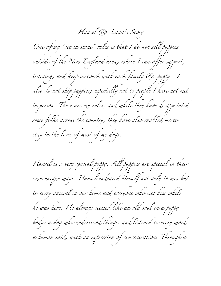*Hansel & Lana's Story One of my "set in stone" rules is that I do not sell puppies outside of the New England area, where I can offer support, training, and keep in touch with each family & puppy. I*  also do not ship puppies; especially not to people I have not met *in person. These are my rules, and while they have disappointed some folks across the country, they have also enabled me to stay in the lives of most of my dogs.*

*Hansel is a very special puppy. All puppies are special in their own unique ways. Hansel endeared himself not only to me, but to every animal in our home and everyone who met him while he was here. He always seemed like an old soul in a puppy body; a dog who understood things, and listened to every word a human said, with an expression of concentration. Through a*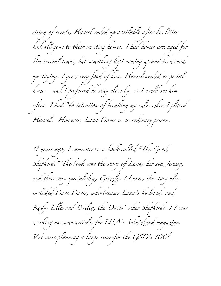*string of events, Hansel ended up available after his litter had all gone to their waiting homes. I had homes arranged for him several times, but something kept coming up and he wound up staying. I grew very fond of him. Hansel needed a special home… and I preferred he stay close by, so I could see him often. I had No intention of breaking my rules when I placed Hansel. However, Lana Davis is no ordinary person.*

*11 years ago, I came across a book called "The Good Shepherd." The book was the story of Lana, her son Jeremy, and their very special dog, Grizzly. (Later, the story also included Dave Davis, who became Lana's husband, and Kody, Ella and Bailey, the Davis' other Shepherds.) I was working on some articles for USA's Schutzhund magazine. We were planning a large issue for the GSD's 100th*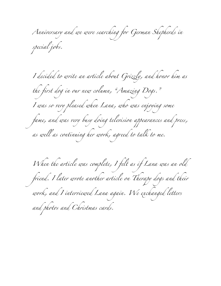*Anniversary and we were searching for German Shepherds in special jobs.*

*I decided to write an article about Grizzly, and honor him as the first dog in our new column, "Amazing Dogs." I was so very pleased when Lana, who was enjoying some fame, and was very busy doing television appearances and press, as well as continuing her work, agreed to talk to me.*

*When the article was complete, I felt as if Lana was an old friend. I later wrote another article on Therapy dogs and their work, and I interviewed Lana again. We exchanged letters and photos and Christmas cards.*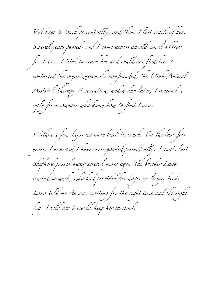*We kept in touch periodically, and then, I lost track of her. Several years passed, and I came across an old email address for Lana. I tried to reach her and could not find her. I contacted the organization she co-founded, the Utah Animal Assisted Therapy Association, and a day later, I received a reply from someone who knew how to find Lana. Within a few days, we were back in touch. For the last few years, Lana and I have corresponded periodically. Lana's last Shepherd passed away several years ago. The breeder Lana trusted so much, who had provided her dogs, no longer bred. Lana told me she was waiting for the right time and the right dog. I told her I would keep her in mind.*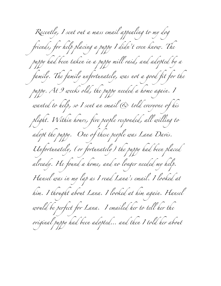*Recently, I sent out a mass email appealing to my dog friends, for help placing a puppy I didn't even know. The puppy had been taken in a puppy mill raid, and adopted by a family. The family unfortunately, was not a good fit for the puppy. At 9 weeks old, the puppy needed a home again. I wanted to help, so I sent an email & told everyone of his plight. Within hours, five people responded, all willing to adopt the puppy. One of these people was Lana Davis. Unfortunately, (or fortunately) the puppy had been placed already. He found a home, and no longer needed my help. Hansel was in my lap as I read Lana's email. I looked at him. I thought about Lana. I looked at him again. Hansel would be perfect for Lana. I emailed her to tell her the original puppy had been adopted… and then I told her about*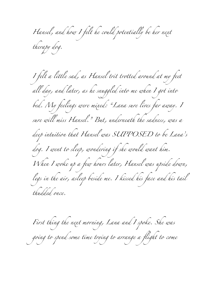*Hansel, and how I felt he could potentially be her next therapy dog.*

*I felt a little sad, as Hansel trit trotted around at my feet all day, and later, as he snuggled into me when I got into bed. My feelings were mixed: "Lana sure lives far away. I sure will miss Hansel." But, underneath the sadness, was a deep intuition that Hansel was SUPPOSED to be Lana's dog. I went to sleep, wondering if she would want him. When I woke up a few hours later, Hansel was upside down, legs in the air, asleep beside me. I kissed his face and his tail thudded once.*

*First thing the next morning, Lana and I spoke. She was going to spend some time trying to arrange a flight to come*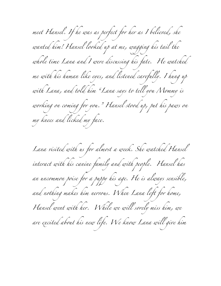*meet Hansel. If he was as perfect for her as I believed, she wanted him! Hansel looked up at me, wagging his tail the whole time Lana and I were discussing his fate. He watched me with his human like eyes, and listened carefully. I hung up with Lana, and told him "Lana says to tell you Mommy is working on coming for you." Hansel stood up, put his paws on my knees and licked my face.*

*Lana visited with us for almost a week. She watched Hansel interact with his canine family and with people. Hansel has an uncommon poise for a puppy his age. He is always sensible, and nothing makes him nervous. When Lana left for home, Hansel went with her. While we will sorely miss him, we are excited about his new life. We know Lana will give him*